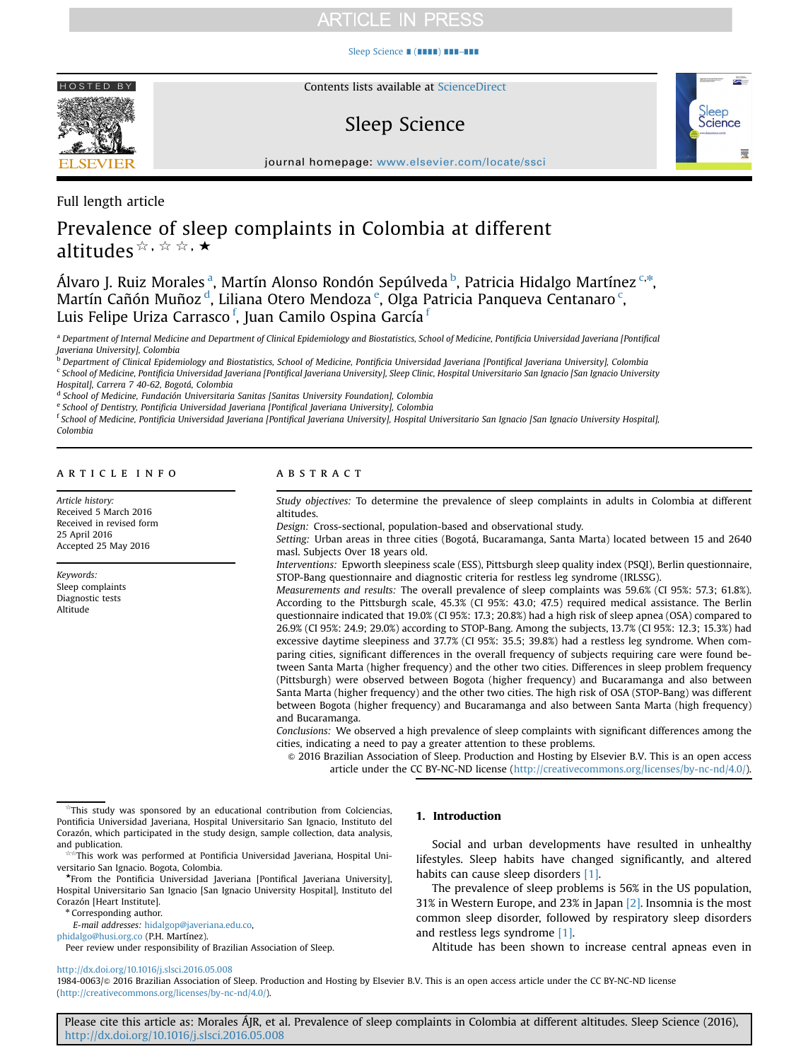# **ARTICLE IN PRESS**

## [Sleep Science](http://dx.doi.org/10.1016/j.slsci.2016.05.008) ∎ (∎∎∎∎) ∎∎∎–∎∎∎



Contents lists available at [ScienceDirect](www.sciencedirect.com/science/journal/19840063)

# Sleep Science



journal homepage: <www.elsevier.com/locate/ssci>

Full length article

# Prevalence of sleep complaints in Colombia at different altitudes  $\forall x, \forall x, x \star$

Álvaro J. Ruiz Morales <sup>a</sup>, Martín Alonso Rondón Sepúlveda <sup>b</sup>, Patricia Hidalgo Martínez <sup>c,\*</sup>, Martín Cañón Muñoz<sup>d</sup>, Liliana Otero Mendoza<sup>e</sup>, Olga Patricia Panqueva Centanaro<sup>c</sup>, Luis Felipe Uriza Carrasco <sup>f</sup>, Juan Camilo Ospina García <sup>f</sup>

a Department of Internal Medicine and Department of Clinical Epidemiology and Biostatistics, School of Medicine, Pontificia Universidad Javeriana [Pontifical Javeriana University], Colombia

<sup>d</sup> School of Medicine, Fundación Universitaria Sanitas [Sanitas University Foundation], Colombia

e School of Dentistry, Pontificia Universidad Javeriana [Pontifical Javeriana University], Colombia

<sup>f</sup> School of Medicine, Pontificia Universidad Javeriana [Pontifical Javeriana University], Hospital Universitario San Ignacio [San Ignacio University Hospital], Colombia

## article info

Article history: Received 5 March 2016 Received in revised form 25 April 2016 Accepted 25 May 2016

Keywords: Sleep complaints Diagnostic tests Altitude

## ABSTRACT

Study objectives: To determine the prevalence of sleep complaints in adults in Colombia at different altitudes.

Design: Cross-sectional, population-based and observational study.

Setting: Urban areas in three cities (Bogotá, Bucaramanga, Santa Marta) located between 15 and 2640 masl. Subjects Over 18 years old.

Interventions: Epworth sleepiness scale (ESS), Pittsburgh sleep quality index (PSQI), Berlin questionnaire, STOP-Bang questionnaire and diagnostic criteria for restless leg syndrome (IRLSSG).

Measurements and results: The overall prevalence of sleep complaints was 59.6% (CI 95%: 57.3; 61.8%). According to the Pittsburgh scale, 45.3% (CI 95%: 43.0; 47.5) required medical assistance. The Berlin questionnaire indicated that 19.0% (CI 95%: 17.3; 20.8%) had a high risk of sleep apnea (OSA) compared to 26.9% (CI 95%: 24.9; 29.0%) according to STOP-Bang. Among the subjects, 13.7% (CI 95%: 12.3; 15.3%) had excessive daytime sleepiness and 37.7% (CI 95%: 35.5; 39.8%) had a restless leg syndrome. When comparing cities, significant differences in the overall frequency of subjects requiring care were found between Santa Marta (higher frequency) and the other two cities. Differences in sleep problem frequency (Pittsburgh) were observed between Bogota (higher frequency) and Bucaramanga and also between Santa Marta (higher frequency) and the other two cities. The high risk of OSA (STOP-Bang) was different between Bogota (higher frequency) and Bucaramanga and also between Santa Marta (high frequency) and Bucaramanga.

Conclusions: We observed a high prevalence of sleep complaints with significant differences among the cities, indicating a need to pay a greater attention to these problems.

& 2016 Brazilian Association of Sleep. Production and Hosting by Elsevier B.V. This is an open access article under the CC BY-NC-ND license (http://creativecommons.org/licenses/by-nc-nd/4.0/).

\* Corresponding author.

E-mail addresses: [hidalgop@javeriana.edu.co,](mailto:hidalgop@javeriana.edu.co)

[phidalgo@husi.org.co](mailto:phidalgo@husi.org.co) (P.H. Martínez).

Peer review under responsibility of Brazilian Association of Sleep.

<http://dx.doi.org/10.1016/j.slsci.2016.05.008>

## 1. Introduction

Social and urban developments have resulted in unhealthy lifestyles. Sleep habits have changed significantly, and altered habits can cause sleep disorders [\[1\].](#page-5-0)

The prevalence of sleep problems is 56% in the US population, 31% in Western Europe, and 23% in Japan [\[2\]](#page-5-0). Insomnia is the most common sleep disorder, followed by respiratory sleep disorders and restless legs syndrome [\[1\]](#page-5-0).

Altitude has been shown to increase central apneas even in

1984-0063/@ 2016 Brazilian Association of Sleep. Production and Hosting by Elsevier B.V. This is an open access article under the CC BY-NC-ND license (http://creativecommons.org/licenses/by-nc-nd/4.0/).

Please cite this article as: Morales ÁJR, et al. Prevalence of sleep complaints in Colombia at different altitudes. Sleep Science (2016), [http://dx.doi.org/10.1016/j.slsci.2016.05.008i](http://dx.doi.org/10.1016/j.slsci.2016.05.008)

<sup>&</sup>lt;sup>1</sup>b Department of Clinical Epidemiology and Biostatistics, School of Medicine, Pontificia Universidad Javeriana [Pontifical Javeriana University], Colombia <sup>c</sup> School of Medicine, Pontificia Universidad Javeriana [Pontifical Javeriana University], Sleep Clinic, Hospital Universitario San Ignacio [San Ignacio University Hospital], Carrera 7 40-62, Bogotá, Colombia

<sup>☆</sup>This study was sponsored by an educational contribution from Colciencias, Pontificia Universidad Javeriana, Hospital Universitario San Ignacio, Instituto del Corazón, which participated in the study design, sample collection, data analysis, and publication.

<sup>&</sup>lt;sub>.</sub><br>This work was performed at Pontificia Universidad Javeriana, Hospital Universitario San Ignacio. Bogota, Colombia.

<sup>★</sup>From the Pontificia Universidad Javeriana [Pontifical Javeriana University], Hospital Universitario San Ignacio [San Ignacio University Hospital], Instituto del Corazón [Heart Institute].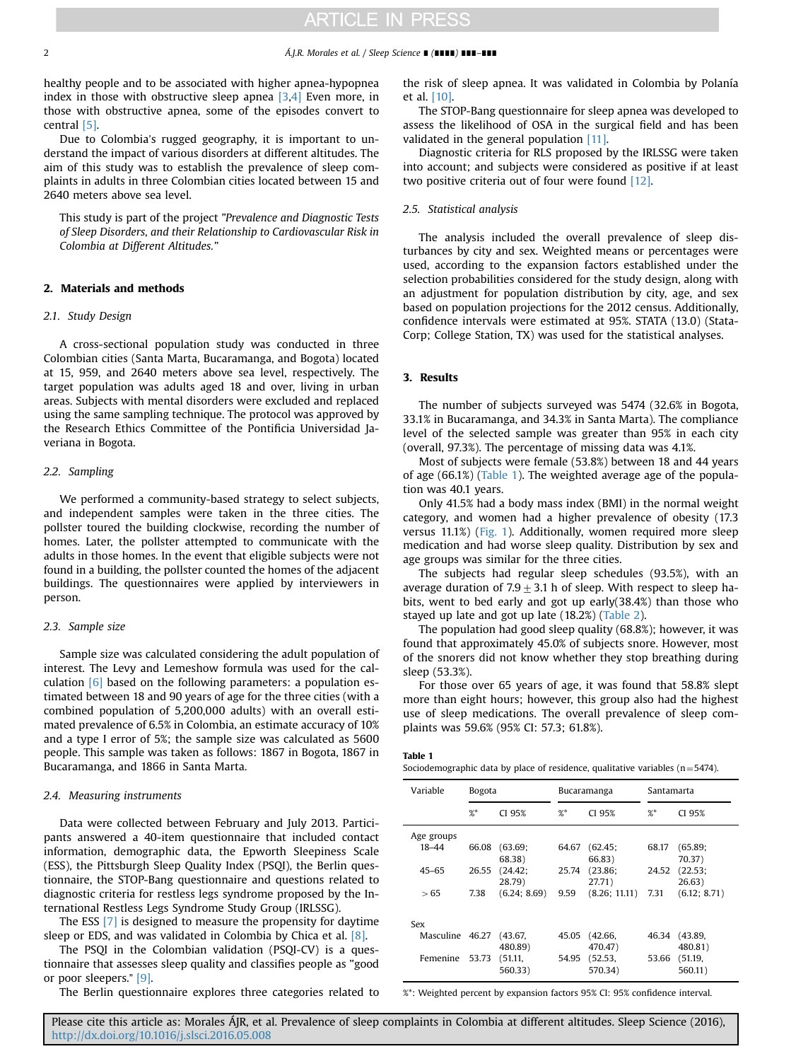#### 2 Á.J.R. Morales et al. / Sleep Science ∎ (∎∎∎∎) ∎∎∎–∎∎∎

healthy people and to be associated with higher apnea-hypopnea index in those with obstructive sleep apnea  $[3,4]$  Even more, in those with obstructive apnea, some of the episodes convert to central [\[5\]](#page-5-0).

Due to Colombia's rugged geography, it is important to understand the impact of various disorders at different altitudes. The aim of this study was to establish the prevalence of sleep complaints in adults in three Colombian cities located between 15 and 2640 meters above sea level.

This study is part of the project "Prevalence and Diagnostic Tests of Sleep Disorders, and their Relationship to Cardiovascular Risk in Colombia at Different Altitudes."

## 2. Materials and methods

#### 2.1. Study Design

A cross-sectional population study was conducted in three Colombian cities (Santa Marta, Bucaramanga, and Bogota) located at 15, 959, and 2640 meters above sea level, respectively. The target population was adults aged 18 and over, living in urban areas. Subjects with mental disorders were excluded and replaced using the same sampling technique. The protocol was approved by the Research Ethics Committee of the Pontificia Universidad Javeriana in Bogota.

## 2.2. Sampling

We performed a community-based strategy to select subjects, and independent samples were taken in the three cities. The pollster toured the building clockwise, recording the number of homes. Later, the pollster attempted to communicate with the adults in those homes. In the event that eligible subjects were not found in a building, the pollster counted the homes of the adjacent buildings. The questionnaires were applied by interviewers in person.

## 2.3. Sample size

Sample size was calculated considering the adult population of interest. The Levy and Lemeshow formula was used for the calculation [\[6\]](#page-5-0) based on the following parameters: a population estimated between 18 and 90 years of age for the three cities (with a combined population of 5,200,000 adults) with an overall estimated prevalence of 6.5% in Colombia, an estimate accuracy of 10% and a type I error of 5%; the sample size was calculated as 5600 people. This sample was taken as follows: 1867 in Bogota, 1867 in Bucaramanga, and 1866 in Santa Marta.

## 2.4. Measuring instruments

Data were collected between February and July 2013. Participants answered a 40-item questionnaire that included contact information, demographic data, the Epworth Sleepiness Scale (ESS), the Pittsburgh Sleep Quality Index (PSQI), the Berlin questionnaire, the STOP-Bang questionnaire and questions related to diagnostic criteria for restless legs syndrome proposed by the International Restless Legs Syndrome Study Group (IRLSSG).

The ESS [\[7\]](#page-5-0) is designed to measure the propensity for daytime sleep or EDS, and was validated in Colombia by Chica et al. [\[8\]](#page-5-0).

The PSQI in the Colombian validation (PSQI-CV) is a questionnaire that assesses sleep quality and classifies people as "good or poor sleepers." [\[9\].](#page-5-0)

The Berlin questionnaire explores three categories related to

the risk of sleep apnea. It was validated in Colombia by Polanía et al. [\[10\]](#page-5-0).

The STOP-Bang questionnaire for sleep apnea was developed to assess the likelihood of OSA in the surgical field and has been validated in the general population [\[11\].](#page-5-0)

Diagnostic criteria for RLS proposed by the IRLSSG were taken into account; and subjects were considered as positive if at least two positive criteria out of four were found [\[12\].](#page-5-0)

## 2.5. Statistical analysis

The analysis included the overall prevalence of sleep disturbances by city and sex. Weighted means or percentages were used, according to the expansion factors established under the selection probabilities considered for the study design, along with an adjustment for population distribution by city, age, and sex based on population projections for the 2012 census. Additionally, confidence intervals were estimated at 95%. STATA (13.0) (Stata-Corp; College Station, TX) was used for the statistical analyses.

### 3. Results

The number of subjects surveyed was 5474 (32.6% in Bogota, 33.1% in Bucaramanga, and 34.3% in Santa Marta). The compliance level of the selected sample was greater than 95% in each city (overall, 97.3%). The percentage of missing data was 4.1%.

Most of subjects were female (53.8%) between 18 and 44 years of age (66.1%) (Table 1). The weighted average age of the population was 40.1 years.

Only 41.5% had a body mass index (BMI) in the normal weight category, and women had a higher prevalence of obesity (17.3 versus 11.1%) ([Fig. 1](#page-2-0)). Additionally, women required more sleep medication and had worse sleep quality. Distribution by sex and age groups was similar for the three cities.

The subjects had regular sleep schedules (93.5%), with an average duration of 7.9  $\pm$  3.1 h of sleep. With respect to sleep habits, went to bed early and got up early(38.4%) than those who stayed up late and got up late (18.2%) ([Table 2](#page-3-0)).

The population had good sleep quality (68.8%); however, it was found that approximately 45.0% of subjects snore. However, most of the snorers did not know whether they stop breathing during sleep (53.3%).

For those over 65 years of age, it was found that 58.8% slept more than eight hours; however, this group also had the highest use of sleep medications. The overall prevalence of sleep complaints was 59.6% (95% CI: 57.3; 61.8%).

#### Table 1

Sociodemographic data by place of residence, qualitative variables  $(n=5474)$ .

| Variable   | <b>Bogota</b> |              | Bucaramanga |               | Santamarta |              |
|------------|---------------|--------------|-------------|---------------|------------|--------------|
|            | %             | CI 95%       | %           | CI 95%        | %          | CI 95%       |
| Age groups |               |              |             |               |            |              |
| 18-44      | 66.08         | (63.69)      | 64.67       | (62.45;       | 68.17      | (65.89)      |
|            |               | 68.38)       |             | 66.83)        |            | 70.37)       |
| $45 - 65$  | 26.55         | (24.42;      | 25.74       | (23.86;       | 24.52      | (22.53)      |
|            |               | 28.79)       |             | 27.71)        |            | 26.63)       |
| > 65       | 7.38          | (6.24; 8.69) | 9.59        | (8.26; 11.11) | 7.31       | (6.12; 8.71) |
|            |               |              |             |               |            |              |
| Sex        |               |              |             |               |            |              |
| Masculine  | 46.27         | (43.67,      | 45.05       | (42.66,       | 46.34      | (43.89,      |
|            |               | 480.89)      |             | 470.47)       |            | 480.81)      |
| Femenine   | 53.73         | (51.11,      | 54.95       | (52.53,       | 53.66      | (51.19,      |
|            |               | 560.33)      |             | 570.34)       |            | 560.11)      |

%\*: Weighted percent by expansion factors 95% CI: 95% confidence interval.

Please cite this article as: Morales ÁJR, et al. Prevalence of sleep complaints in Colombia at different altitudes. Sleep Science (2016), [http://dx.doi.org/10.1016/j.slsci.2016.05.008i](http://dx.doi.org/10.1016/j.slsci.2016.05.008)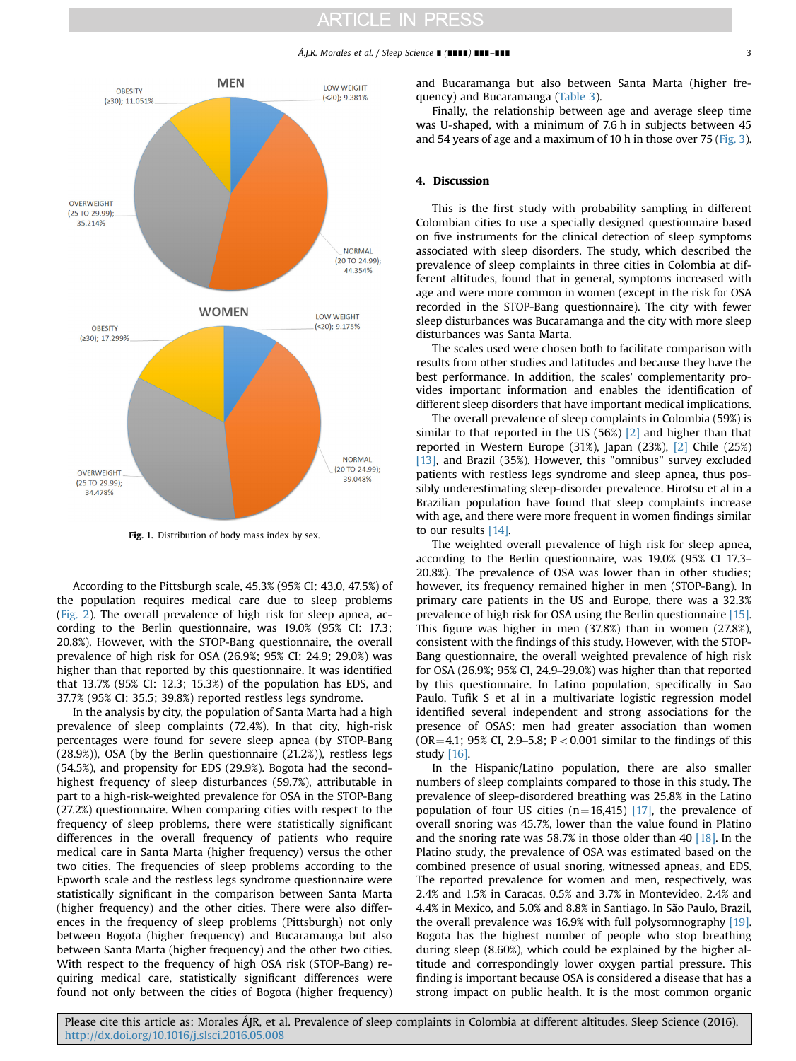# **ARTICLE IN PRESS**

### Á.J.R. Morales et al. / Sleep Science ∎ (∎∎∎∎) ∎∎∎–∎∎∎ 3

<span id="page-2-0"></span>

Fig. 1. Distribution of body mass index by sex.

According to the Pittsburgh scale, 45.3% (95% CI: 43.0, 47.5%) of the population requires medical care due to sleep problems ([Fig. 2\)](#page-3-0). The overall prevalence of high risk for sleep apnea, according to the Berlin questionnaire, was 19.0% (95% CI: 17.3; 20.8%). However, with the STOP-Bang questionnaire, the overall prevalence of high risk for OSA (26.9%; 95% CI: 24.9; 29.0%) was higher than that reported by this questionnaire. It was identified that 13.7% (95% CI: 12.3; 15.3%) of the population has EDS, and 37.7% (95% CI: 35.5; 39.8%) reported restless legs syndrome.

In the analysis by city, the population of Santa Marta had a high prevalence of sleep complaints (72.4%). In that city, high-risk percentages were found for severe sleep apnea (by STOP-Bang (28.9%)), OSA (by the Berlin questionnaire (21.2%)), restless legs (54.5%), and propensity for EDS (29.9%). Bogota had the secondhighest frequency of sleep disturbances (59.7%), attributable in part to a high-risk-weighted prevalence for OSA in the STOP-Bang (27.2%) questionnaire. When comparing cities with respect to the frequency of sleep problems, there were statistically significant differences in the overall frequency of patients who require medical care in Santa Marta (higher frequency) versus the other two cities. The frequencies of sleep problems according to the Epworth scale and the restless legs syndrome questionnaire were statistically significant in the comparison between Santa Marta (higher frequency) and the other cities. There were also differences in the frequency of sleep problems (Pittsburgh) not only between Bogota (higher frequency) and Bucaramanga but also between Santa Marta (higher frequency) and the other two cities. With respect to the frequency of high OSA risk (STOP-Bang) requiring medical care, statistically significant differences were found not only between the cities of Bogota (higher frequency) and Bucaramanga but also between Santa Marta (higher frequency) and Bucaramanga [\(Table 3\)](#page-4-0).

Finally, the relationship between age and average sleep time was U-shaped, with a minimum of 7.6 h in subjects between 45 and 54 years of age and a maximum of 10 h in those over 75 [\(Fig. 3\)](#page-4-0).

## 4. Discussion

This is the first study with probability sampling in different Colombian cities to use a specially designed questionnaire based on five instruments for the clinical detection of sleep symptoms associated with sleep disorders. The study, which described the prevalence of sleep complaints in three cities in Colombia at different altitudes, found that in general, symptoms increased with age and were more common in women (except in the risk for OSA recorded in the STOP-Bang questionnaire). The city with fewer sleep disturbances was Bucaramanga and the city with more sleep disturbances was Santa Marta.

The scales used were chosen both to facilitate comparison with results from other studies and latitudes and because they have the best performance. In addition, the scales' complementarity provides important information and enables the identification of different sleep disorders that have important medical implications.

The overall prevalence of sleep complaints in Colombia (59%) is similar to that reported in the US (56%) [\[2\]](#page-5-0) and higher than that reported in Western Europe (31%), Japan (23%), [\[2\]](#page-5-0) Chile (25%) [\[13\]](#page-5-0), and Brazil (35%). However, this "omnibus" survey excluded patients with restless legs syndrome and sleep apnea, thus possibly underestimating sleep-disorder prevalence. Hirotsu et al in a Brazilian population have found that sleep complaints increase with age, and there were more frequent in women findings similar to our results [\[14\]](#page-5-0).

The weighted overall prevalence of high risk for sleep apnea, according to the Berlin questionnaire, was 19.0% (95% CI 17.3– 20.8%). The prevalence of OSA was lower than in other studies; however, its frequency remained higher in men (STOP-Bang). In primary care patients in the US and Europe, there was a 32.3% prevalence of high risk for OSA using the Berlin questionnaire [\[15\].](#page-5-0) This figure was higher in men (37.8%) than in women (27.8%), consistent with the findings of this study. However, with the STOP-Bang questionnaire, the overall weighted prevalence of high risk for OSA (26.9%; 95% CI, 24.9–29.0%) was higher than that reported by this questionnaire. In Latino population, specifically in Sao Paulo, Tufik S et al in a multivariate logistic regression model identified several independent and strong associations for the presence of OSAS: men had greater association than women ( $OR = 4.1$ ; 95% CI, 2.9–5.8; P < 0.001 similar to the findings of this study [\[16\]](#page-5-0).

In the Hispanic/Latino population, there are also smaller numbers of sleep complaints compared to those in this study. The prevalence of sleep-disordered breathing was 25.8% in the Latino population of four US cities (n=16,415) [\[17\],](#page-5-0) the prevalence of overall snoring was 45.7%, lower than the value found in Platino and the snoring rate was 58.7% in those older than 40 [\[18\].](#page-5-0) In the Platino study, the prevalence of OSA was estimated based on the combined presence of usual snoring, witnessed apneas, and EDS. The reported prevalence for women and men, respectively, was 2.4% and 1.5% in Caracas, 0.5% and 3.7% in Montevideo, 2.4% and 4.4% in Mexico, and 5.0% and 8.8% in Santiago. In São Paulo, Brazil, the overall prevalence was 16.9% with full polysomnography [\[19\].](#page-5-0) Bogota has the highest number of people who stop breathing during sleep (8.60%), which could be explained by the higher altitude and correspondingly lower oxygen partial pressure. This finding is important because OSA is considered a disease that has a strong impact on public health. It is the most common organic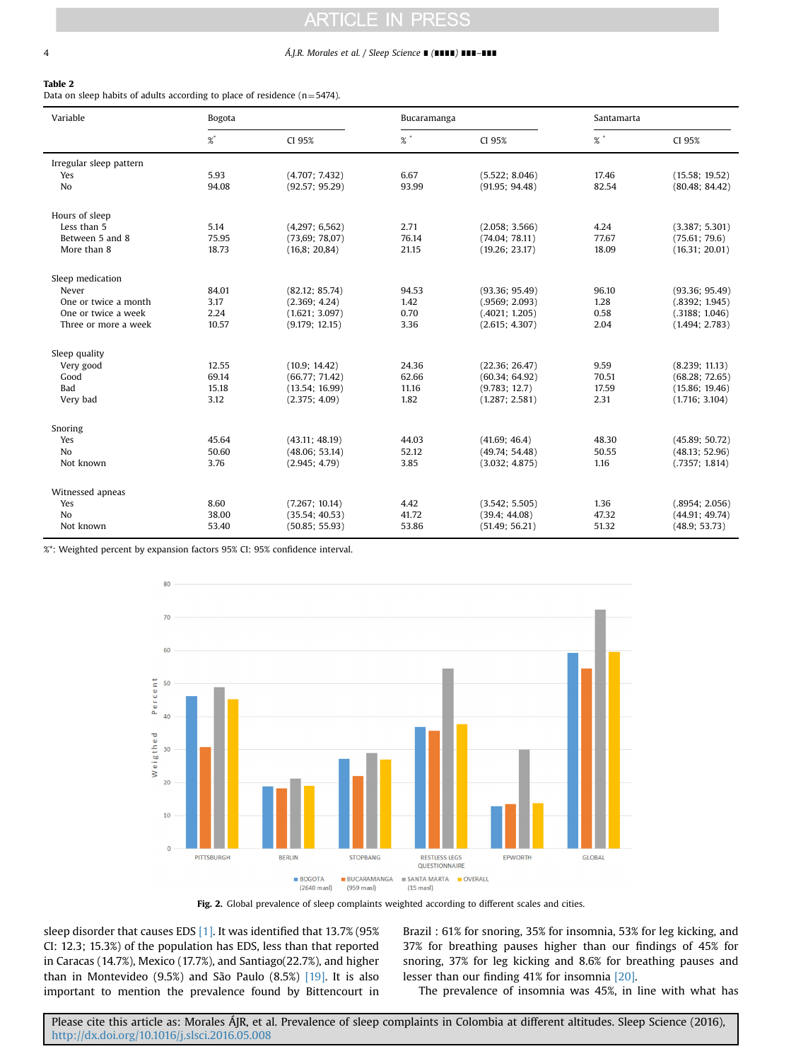### <span id="page-3-0"></span>4 Á.J.R. Morales et al. / Sleep Science ∎ (∎∎∎∎) ∎∎∎–∎∎∎

#### Table 2

Data on sleep habits of adults according to place of residence  $(n=5474)$ .

| Variable<br>Bogota      |       |                | Bucaramanga    |                | Santamarta |                |
|-------------------------|-------|----------------|----------------|----------------|------------|----------------|
|                         | %*    | CI 95%         | $\%$ $\degree$ | CI 95%         | $%$ $*$    | CI 95%         |
| Irregular sleep pattern |       |                |                |                |            |                |
| Yes                     | 5.93  | (4.707; 7.432) | 6.67           | (5.522; 8.046) | 17.46      | (15.58; 19.52) |
| No                      | 94.08 | (92.57; 95.29) | 93.99          | (91.95; 94.48) | 82.54      | (80.48; 84.42) |
| Hours of sleep          |       |                |                |                |            |                |
| Less than 5             | 5.14  | (4,297; 6,562) | 2.71           | (2.058; 3.566) | 4.24       | (3.387; 5.301) |
| Between 5 and 8         | 75.95 | (73,69; 78,07) | 76.14          | (74.04; 78.11) | 77.67      | (75.61; 79.6)  |
| More than 8             | 18.73 | (16,8; 20,84)  | 21.15          | (19.26; 23.17) | 18.09      | (16.31; 20.01) |
| Sleep medication        |       |                |                |                |            |                |
| Never                   | 84.01 | (82.12; 85.74) | 94.53          | (93.36; 95.49) | 96.10      | (93.36; 95.49) |
| One or twice a month    | 3.17  | (2.369; 4.24)  | 1.42           | (.9569; 2.093) | 1.28       | (.8392; 1.945) |
| One or twice a week     | 2.24  | (1.621; 3.097) | 0.70           | (.4021; 1.205) | 0.58       | (.3188; 1.046) |
| Three or more a week    | 10.57 | (9.179; 12.15) | 3.36           | (2.615; 4.307) | 2.04       | (1.494; 2.783) |
| Sleep quality           |       |                |                |                |            |                |
| Very good               | 12.55 | (10.9; 14.42)  | 24.36          | (22.36; 26.47) | 9.59       | (8.239; 11.13) |
| Good                    | 69.14 | (66.77; 71.42) | 62.66          | (60.34; 64.92) | 70.51      | (68.28; 72.65) |
| <b>Bad</b>              | 15.18 | (13.54; 16.99) | 11.16          | (9.783; 12.7)  | 17.59      | (15.86; 19.46) |
| Very bad                | 3.12  | (2.375; 4.09)  | 1.82           | (1.287; 2.581) | 2.31       | (1.716; 3.104) |
| Snoring                 |       |                |                |                |            |                |
| Yes                     | 45.64 | (43.11; 48.19) | 44.03          | (41.69; 46.4)  | 48.30      | (45.89; 50.72) |
| N <sub>0</sub>          | 50.60 | (48.06; 53.14) | 52.12          | (49.74; 54.48) | 50.55      | (48.13; 52.96) |
| Not known               | 3.76  | (2.945; 4.79)  | 3.85           | (3.032; 4.875) | 1.16       | (.7357; 1.814) |
| Witnessed apneas        |       |                |                |                |            |                |
| Yes                     | 8.60  | (7.267; 10.14) | 4.42           | (3.542; 5.505) | 1.36       | (.8954; 2.056) |
| N <sub>0</sub>          | 38.00 | (35.54; 40.53) | 41.72          | (39.4; 44.08)  | 47.32      | (44.91; 49.74) |
| Not known               | 53.40 | (50.85; 55.93) | 53.86          | (51.49; 56.21) | 51.32      | (48.9; 53.73)  |

%\*: Weighted percent by expansion factors 95% CI: 95% confidence interval.



Fig. 2. Global prevalence of sleep complaints weighted according to different scales and cities.

sleep disorder that causes EDS [\[1\]](#page-5-0). It was identified that 13.7% (95% CI: 12.3; 15.3%) of the population has EDS, less than that reported in Caracas (14.7%), Mexico (17.7%), and Santiago(22.7%), and higher than in Montevideo (9.5%) and São Paulo (8.5%) [\[19\]](#page-5-0). It is also important to mention the prevalence found by Bittencourt in Brazil : 61% for snoring, 35% for insomnia, 53% for leg kicking, and 37% for breathing pauses higher than our findings of 45% for snoring, 37% for leg kicking and 8.6% for breathing pauses and lesser than our finding 41% for insomnia [\[20\]](#page-5-0).

The prevalence of insomnia was 45%, in line with what has

Please cite this article as: Morales ÁJR, et al. Prevalence of sleep complaints in Colombia at different altitudes. Sleep Science (2016), [http://dx.doi.org/10.1016/j.slsci.2016.05.008i](http://dx.doi.org/10.1016/j.slsci.2016.05.008)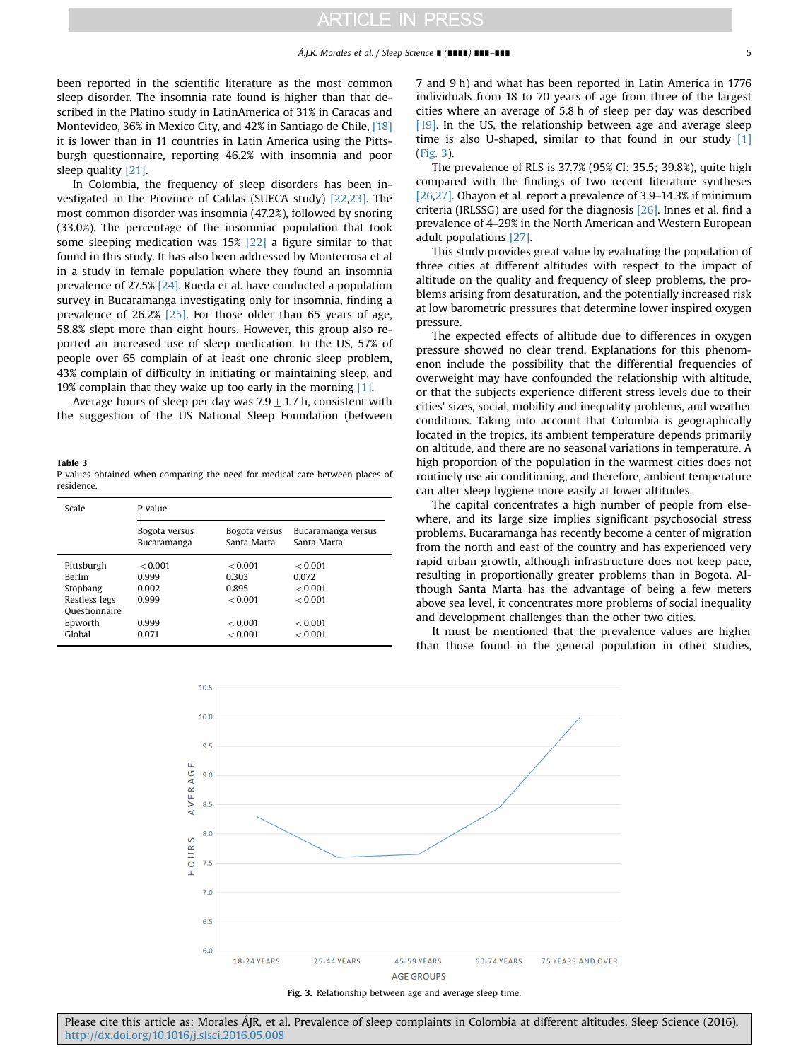<span id="page-4-0"></span>been reported in the scientific literature as the most common sleep disorder. The insomnia rate found is higher than that described in the Platino study in LatinAmerica of 31% in Caracas and Montevideo, 36% in Mexico City, and 42% in Santiago de Chile, [\[18\]](#page-5-0) it is lower than in 11 countries in Latin America using the Pittsburgh questionnaire, reporting 46.2% with insomnia and poor sleep quality [\[21\].](#page-5-0)

In Colombia, the frequency of sleep disorders has been investigated in the Province of Caldas (SUECA study) [\[22,23\]](#page-5-0). The most common disorder was insomnia (47.2%), followed by snoring (33.0%). The percentage of the insomniac population that took some sleeping medication was 15% [\[22\]](#page-5-0) a figure similar to that found in this study. It has also been addressed by Monterrosa et al in a study in female population where they found an insomnia prevalence of 27.5% [\[24\].](#page-5-0) Rueda et al. have conducted a population survey in Bucaramanga investigating only for insomnia, finding a prevalence of 26.2% [\[25\]](#page-5-0). For those older than 65 years of age, 58.8% slept more than eight hours. However, this group also reported an increased use of sleep medication. In the US, 57% of people over 65 complain of at least one chronic sleep problem, 43% complain of difficulty in initiating or maintaining sleep, and 19% complain that they wake up too early in the morning [\[1\]](#page-5-0).

Average hours of sleep per day was  $7.9\pm1.7$  h, consistent with the suggestion of the US National Sleep Foundation (between

Table 3 P values obtained when comparing the need for medical care between places of residence.

| Scale         | P value                      |                              |                                   |  |  |  |
|---------------|------------------------------|------------------------------|-----------------------------------|--|--|--|
|               | Bogota versus<br>Bucaramanga | Bogota versus<br>Santa Marta | Bucaramanga versus<br>Santa Marta |  |  |  |
| Pittsburgh    | < 0.001                      | < 0.001                      | < 0.001                           |  |  |  |
| <b>Berlin</b> | 0.999                        | 0.303                        | 0.072                             |  |  |  |
| Stopbang      | 0.002                        | 0.895                        | < 0.001                           |  |  |  |
| Restless legs | 0.999                        | < 0.001                      | < 0.001                           |  |  |  |
| Questionnaire |                              |                              |                                   |  |  |  |
| Epworth       | 0.999                        | < 0.001                      | < 0.001                           |  |  |  |
| Global        | 0.071                        | < 0.001                      | < 0.001                           |  |  |  |

7 and 9 h) and what has been reported in Latin America in 1776 individuals from 18 to 70 years of age from three of the largest cities where an average of 5.8 h of sleep per day was described [\[19\]](#page-5-0). In the US, the relationship between age and average sleep time is also U-shaped, similar to that found in our study [\[1\]](#page-5-0) (Fig. 3).

The prevalence of RLS is 37.7% (95% CI: 35.5; 39.8%), quite high compared with the findings of two recent literature syntheses [\[26,27\]](#page-5-0). Ohayon et al. report a prevalence of 3.9–14.3% if minimum criteria (IRLSSG) are used for the diagnosis [\[26\]](#page-5-0). Innes et al. find a prevalence of 4–29% in the North American and Western European adult populations [\[27\].](#page-5-0)

This study provides great value by evaluating the population of three cities at different altitudes with respect to the impact of altitude on the quality and frequency of sleep problems, the problems arising from desaturation, and the potentially increased risk at low barometric pressures that determine lower inspired oxygen pressure.

The expected effects of altitude due to differences in oxygen pressure showed no clear trend. Explanations for this phenomenon include the possibility that the differential frequencies of overweight may have confounded the relationship with altitude, or that the subjects experience different stress levels due to their cities' sizes, social, mobility and inequality problems, and weather conditions. Taking into account that Colombia is geographically located in the tropics, its ambient temperature depends primarily on altitude, and there are no seasonal variations in temperature. A high proportion of the population in the warmest cities does not routinely use air conditioning, and therefore, ambient temperature can alter sleep hygiene more easily at lower altitudes.

The capital concentrates a high number of people from elsewhere, and its large size implies significant psychosocial stress problems. Bucaramanga has recently become a center of migration from the north and east of the country and has experienced very rapid urban growth, although infrastructure does not keep pace, resulting in proportionally greater problems than in Bogota. Although Santa Marta has the advantage of being a few meters above sea level, it concentrates more problems of social inequality and development challenges than the other two cities.

It must be mentioned that the prevalence values are higher than those found in the general population in other studies,